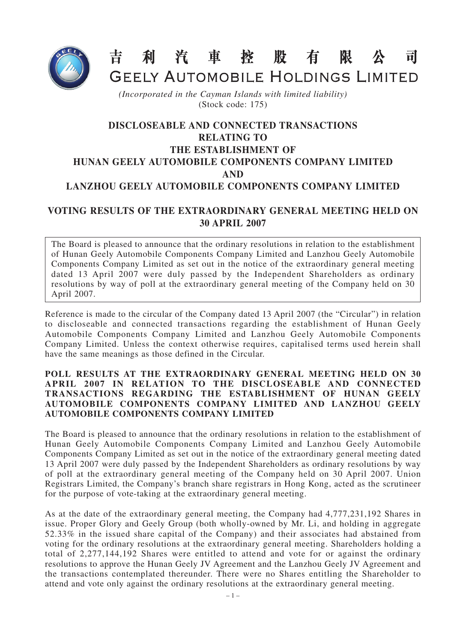

吉利汽車控股有 限 公  $\overrightarrow{\mathbf{H}}$ 

GEELY AUTOMOBILE HOLDINGS LIMITED

*(Incorporated in the Cayman Islands with limited liability)* (Stock code: 175)

## **DISCLOSEABLE AND CONNECTED TRANSACTIONS RELATING TO THE ESTABLISHMENT OF HUNAN GEELY AUTOMOBILE COMPONENTS COMPANY LIMITED AND LANZHOU GEELY AUTOMOBILE COMPONENTS COMPANY LIMITED**

## **VOTING RESULTS OF THE EXTRAORDINARY GENERAL MEETING HELD ON 30 APRIL 2007**

The Board is pleased to announce that the ordinary resolutions in relation to the establishment of Hunan Geely Automobile Components Company Limited and Lanzhou Geely Automobile Components Company Limited as set out in the notice of the extraordinary general meeting dated 13 April 2007 were duly passed by the Independent Shareholders as ordinary resolutions by way of poll at the extraordinary general meeting of the Company held on 30 April 2007.

Reference is made to the circular of the Company dated 13 April 2007 (the "Circular") in relation to discloseable and connected transactions regarding the establishment of Hunan Geely Automobile Components Company Limited and Lanzhou Geely Automobile Components Company Limited. Unless the context otherwise requires, capitalised terms used herein shall have the same meanings as those defined in the Circular.

## **POLL RESULTS AT THE EXTRAORDINARY GENERAL MEETING HELD ON 30 APRIL 2007 IN RELATION TO THE DISCLOSEABLE AND CONNECTED TRANSACTIONS REGARDING THE ESTABLISHMENT OF HUNAN GEELY AUTOMOBILE COMPONENTS COMPANY LIMITED AND LANZHOU GEELY AUTOMOBILE COMPONENTS COMPANY LIMITED**

The Board is pleased to announce that the ordinary resolutions in relation to the establishment of Hunan Geely Automobile Components Company Limited and Lanzhou Geely Automobile Components Company Limited as set out in the notice of the extraordinary general meeting dated 13 April 2007 were duly passed by the Independent Shareholders as ordinary resolutions by way of poll at the extraordinary general meeting of the Company held on 30 April 2007. Union Registrars Limited, the Company's branch share registrars in Hong Kong, acted as the scrutineer for the purpose of vote-taking at the extraordinary general meeting.

As at the date of the extraordinary general meeting, the Company had 4,777,231,192 Shares in issue. Proper Glory and Geely Group (both wholly-owned by Mr. Li, and holding in aggregate 52.33% in the issued share capital of the Company) and their associates had abstained from voting for the ordinary resolutions at the extraordinary general meeting. Shareholders holding a total of 2,277,144,192 Shares were entitled to attend and vote for or against the ordinary resolutions to approve the Hunan Geely JV Agreement and the Lanzhou Geely JV Agreement and the transactions contemplated thereunder. There were no Shares entitling the Shareholder to attend and vote only against the ordinary resolutions at the extraordinary general meeting.